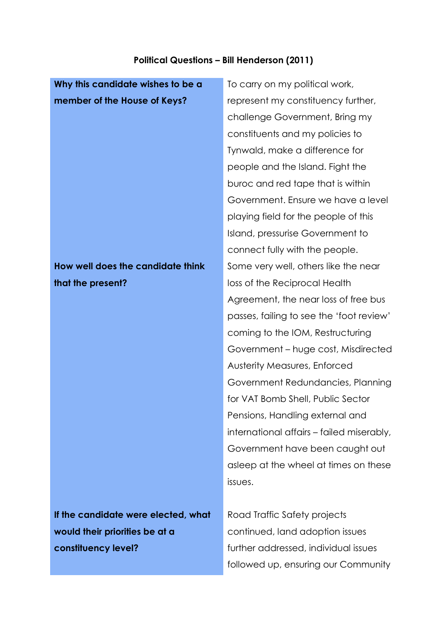## **Political Questions – Bill Henderson (2011)**

| Why this candidate wishes to be a   | To carry on my political work,            |
|-------------------------------------|-------------------------------------------|
| member of the House of Keys?        | represent my constituency further,        |
|                                     | challenge Government, Bring my            |
|                                     | constituents and my policies to           |
|                                     | Tynwald, make a difference for            |
|                                     | people and the Island. Fight the          |
|                                     | buroc and red tape that is within         |
|                                     | Government. Ensure we have a level        |
|                                     | playing field for the people of this      |
|                                     | Island, pressurise Government to          |
|                                     | connect fully with the people.            |
| How well does the candidate think   | Some very well, others like the near      |
| that the present?                   | loss of the Reciprocal Health             |
|                                     | Agreement, the near loss of free bus      |
|                                     | passes, failing to see the 'foot review'  |
|                                     | coming to the IOM, Restructuring          |
|                                     | Government – huge cost, Misdirected       |
|                                     | <b>Austerity Measures, Enforced</b>       |
|                                     | Government Redundancies, Planning         |
|                                     | for VAT Bomb Shell, Public Sector         |
|                                     | Pensions, Handling external and           |
|                                     | international affairs – failed miserably, |
|                                     | Government have been caught out           |
|                                     | asleep at the wheel at times on these     |
|                                     | issues.                                   |
|                                     |                                           |
| If the candidate were elected, what | Road Traffic Safety projects              |
| would their priorities be at a      | continued, land adoption issues           |
| constituency level?                 | further addressed, individual issues      |

further addressed, individual issues followed up, ensuring our Community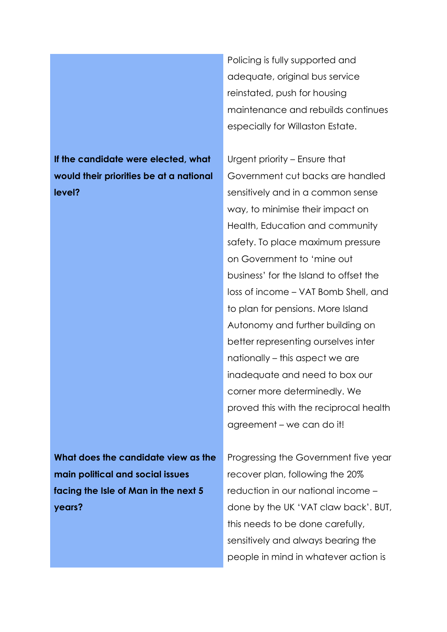**If the candidate were elected, what would their priorities be at a national level?**

Policing is fully supported and adequate, original bus service reinstated, push for housing maintenance and rebuilds continues especially for Willaston Estate.

Urgent priority – Ensure that Government cut backs are handled sensitively and in a common sense way, to minimise their impact on Health, Education and community safety. To place maximum pressure on Government to 'mine out business' for the Island to offset the loss of income – VAT Bomb Shell, and to plan for pensions. More Island Autonomy and further building on better representing ourselves inter nationally – this aspect we are inadequate and need to box our corner more determinedly. We proved this with the reciprocal health agreement – we can do it!

**What does the candidate view as the main political and social issues facing the Isle of Man in the next 5 years?**

Progressing the Government five year recover plan, following the 20% reduction in our national income – done by the UK 'VAT claw back'. BUT, this needs to be done carefully, sensitively and always bearing the people in mind in whatever action is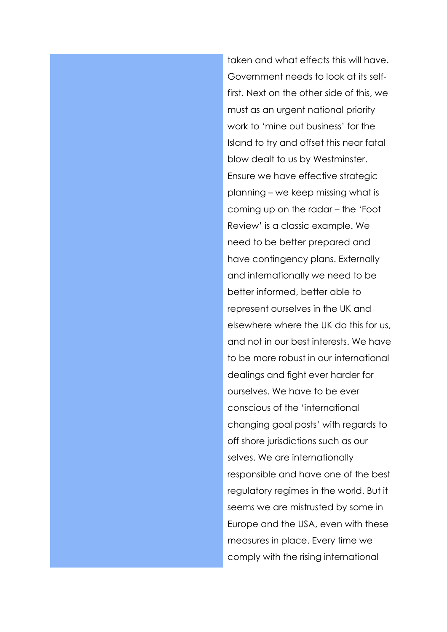taken and what effects this will have. Government needs to look at its selffirst. Next on the other side of this, we must as an urgent national priority work to 'mine out business' for the Island to try and offset this near fatal blow dealt to us by Westminster. Ensure we have effective strategic planning – we keep missing what is coming up on the radar – the 'Foot Review' is a classic example. We need to be better prepared and have contingency plans. Externally and internationally we need to be better informed, better able to represent ourselves in the UK and elsewhere where the UK do this for us, and not in our best interests. We have to be more robust in our international dealings and fight ever harder for ourselves. We have to be ever conscious of the 'international changing goal posts' with regards to off shore jurisdictions such as our selves. We are internationally responsible and have one of the best regulatory regimes in the world. But it seems we are mistrusted by some in Europe and the USA, even with these measures in place. Every time we comply with the rising international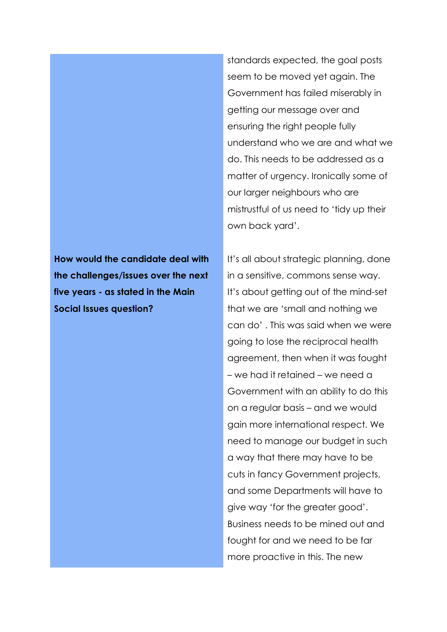**How would the candidate deal with the challenges/issues over the next five years - as stated in the Main Social Issues question?**

standards expected, the goal posts seem to be moved yet again. The Government has failed miserably in getting our message over and ensuring the right people fully understand who we are and what we do. This needs to be addressed as a matter of urgency. Ironically some of our larger neighbours who are mistrustful of us need to 'tidy up their own back yard'.

It's all about strategic planning, done in a sensitive, commons sense way. It's about getting out of the mind-set that we are 'small and nothing we can do' . This was said when we were going to lose the reciprocal health agreement, then when it was fought – we had it retained – we need a Government with an ability to do this on a regular basis – and we would gain more international respect. We need to manage our budget in such a way that there may have to be cuts in fancy Government projects, and some Departments will have to give way 'for the greater good'. Business needs to be mined out and fought for and we need to be far more proactive in this. The new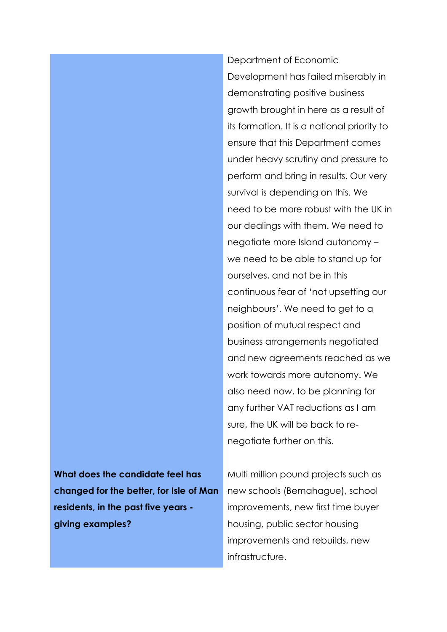Department of Economic Development has failed miserably in demonstrating positive business growth brought in here as a result of its formation. It is a national priority to ensure that this Department comes under heavy scrutiny and pressure to perform and bring in results. Our very survival is depending on this. We need to be more robust with the UK in our dealings with them. We need to negotiate more Island autonomy – we need to be able to stand up for ourselves, and not be in this continuous fear of 'not upsetting our neighbours'. We need to get to a position of mutual respect and business arrangements negotiated and new agreements reached as we work towards more autonomy. We also need now, to be planning for any further VAT reductions as I am sure, the UK will be back to renegotiate further on this.

**What does the candidate feel has changed for the better, for Isle of Man residents, in the past five years giving examples?**

Multi million pound projects such as new schools (Bemahague), school improvements, new first time buyer housing, public sector housing improvements and rebuilds, new infrastructure.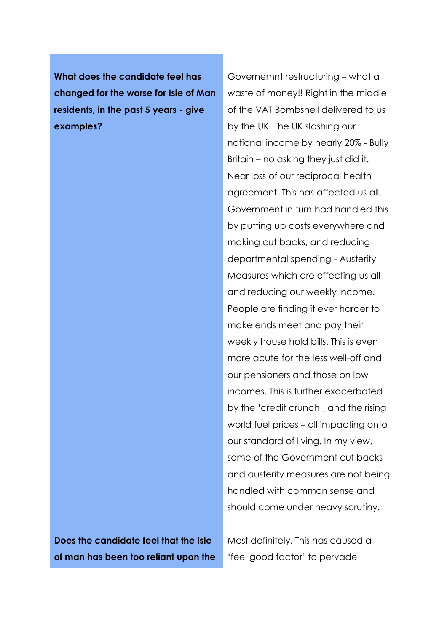**What does the candidate feel has changed for the worse for Isle of Man residents, in the past 5 years - give examples?**

Governemnt restructuring – what a waste of money!! Right in the middle of the VAT Bombshell delivered to us by the UK. The UK slashing our national income by nearly 20% - Bully Britain – no asking they just did it. Near loss of our reciprocal health agreement. This has affected us all. Government in turn had handled this by putting up costs everywhere and making cut backs, and reducing departmental spending - Austerity Measures which are effecting us all and reducing our weekly income. People are finding it ever harder to make ends meet and pay their weekly house hold bills. This is even more acute for the less well-off and our pensioners and those on low incomes. This is further exacerbated by the 'credit crunch', and the rising world fuel prices – all impacting onto our standard of living. In my view, some of the Government cut backs and austerity measures are not being handled with common sense and should come under heavy scrutiny.

**Does the candidate feel that the Isle of man has been too reliant upon the**  Most definitely. This has caused a 'feel good factor' to pervade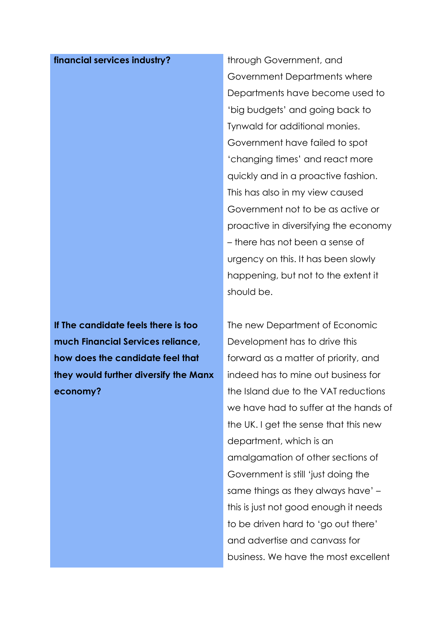## **financial services industry?** through Government, and

**If The candidate feels there is too much Financial Services reliance, how does the candidate feel that they would further diversify the Manx economy?**

Government Departments where Departments have become used to 'big budgets' and going back to Tynwald for additional monies. Government have failed to spot 'changing times' and react more quickly and in a proactive fashion. This has also in my view caused Government not to be as active or proactive in diversifying the economy – there has not been a sense of urgency on this. It has been slowly happening, but not to the extent it should be.

The new Department of Economic Development has to drive this forward as a matter of priority, and indeed has to mine out business for the Island due to the VAT reductions we have had to suffer at the hands of the UK. I get the sense that this new department, which is an amalgamation of other sections of Government is still 'just doing the same things as they always have' – this is just not good enough it needs to be driven hard to 'go out there' and advertise and canvass for business. We have the most excellent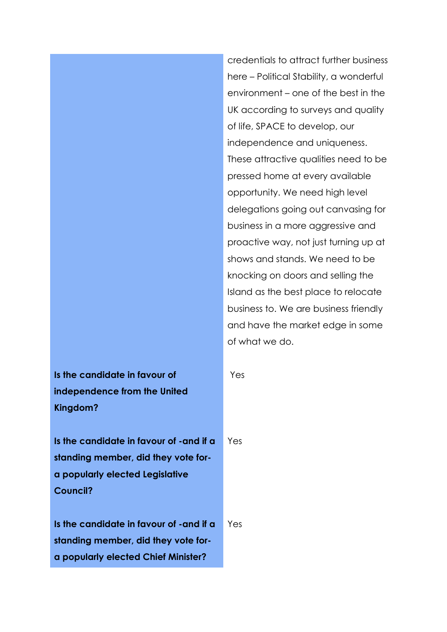credentials to attract further business here – Political Stability, a wonderful environment – one of the best in the UK according to surveys and quality of life, SPACE to develop, our independence and uniqueness. These attractive qualities need to be pressed home at every available opportunity. We need high level delegations going out canvasing for business in a more aggressive and proactive way, not just turning up at shows and stands. We need to be knocking on doors and selling the Island as the best place to relocate business to. We are business friendly and have the market edge in some of what we do.

Yes

**Is the candidate in favour of independence from the United Kingdom?**

**Is the candidate in favour of -and if a standing member, did they vote fora popularly elected Legislative Council?** Yes

**Is the candidate in favour of -and if a standing member, did they vote fora popularly elected Chief Minister?** Yes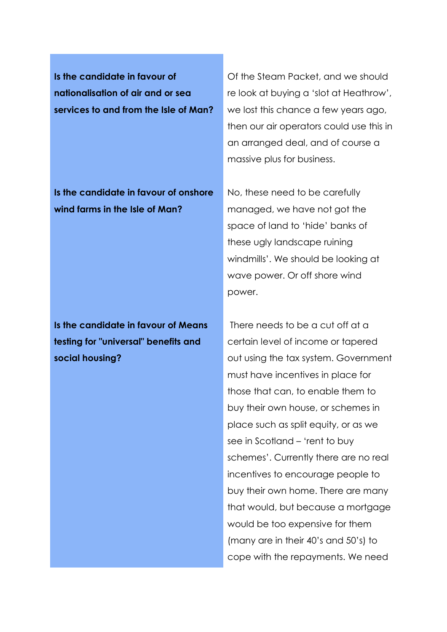**Is the candidate in favour of nationalisation of air and or sea services to and from the Isle of Man?**

**Is the candidate in favour of onshore wind farms in the Isle of Man?**

**Is the candidate in favour of Means testing for "universal" benefits and social housing?**

Of the Steam Packet, and we should re look at buying a 'slot at Heathrow', we lost this chance a few years ago, then our air operators could use this in an arranged deal, and of course a massive plus for business.

No, these need to be carefully managed, we have not got the space of land to 'hide' banks of these ugly landscape ruining windmills'. We should be looking at wave power. Or off shore wind power.

There needs to be a cut off at a certain level of income or tapered out using the tax system. Government must have incentives in place for those that can, to enable them to buy their own house, or schemes in place such as split equity, or as we see in Scotland – 'rent to buy schemes'. Currently there are no real incentives to encourage people to buy their own home. There are many that would, but because a mortgage would be too expensive for them (many are in their 40's and 50's) to cope with the repayments. We need